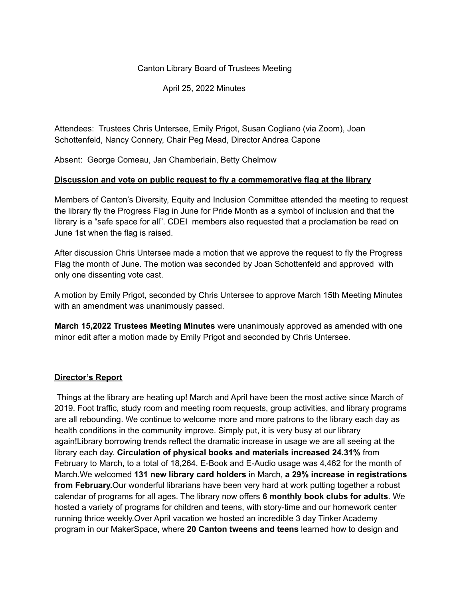#### Canton Library Board of Trustees Meeting

April 25, 2022 Minutes

Attendees: Trustees Chris Untersee, Emily Prigot, Susan Cogliano (via Zoom), Joan Schottenfeld, Nancy Connery, Chair Peg Mead, Director Andrea Capone

Absent: George Comeau, Jan Chamberlain, Betty Chelmow

#### **Discussion and vote on public request to fly a commemorative flag at the library**

Members of Canton's Diversity, Equity and Inclusion Committee attended the meeting to request the library fly the Progress Flag in June for Pride Month as a symbol of inclusion and that the library is a "safe space for all". CDEI members also requested that a proclamation be read on June 1st when the flag is raised.

After discussion Chris Untersee made a motion that we approve the request to fly the Progress Flag the month of June. The motion was seconded by Joan Schottenfeld and approved with only one dissenting vote cast.

A motion by Emily Prigot, seconded by Chris Untersee to approve March 15th Meeting Minutes with an amendment was unanimously passed.

**March 15,2022 Trustees Meeting Minutes** were unanimously approved as amended with one minor edit after a motion made by Emily Prigot and seconded by Chris Untersee.

### **Director's Report**

Things at the library are heating up! March and April have been the most active since March of 2019. Foot traffic, study room and meeting room requests, group activities, and library programs are all rebounding. We continue to welcome more and more patrons to the library each day as health conditions in the community improve. Simply put, it is very busy at our library again!Library borrowing trends reflect the dramatic increase in usage we are all seeing at the library each day. **Circulation of physical books and materials increased 24.31%** from February to March, to a total of 18,264. E-Book and E-Audio usage was 4,462 for the month of March.We welcomed **131 new library card holders** in March, **a 29% increase in registrations from February.**Our wonderful librarians have been very hard at work putting together a robust calendar of programs for all ages. The library now offers **6 monthly book clubs for adults**. We hosted a variety of programs for children and teens, with story-time and our homework center running thrice weekly.Over April vacation we hosted an incredible 3 day Tinker Academy program in our MakerSpace, where **20 Canton tweens and teens** learned how to design and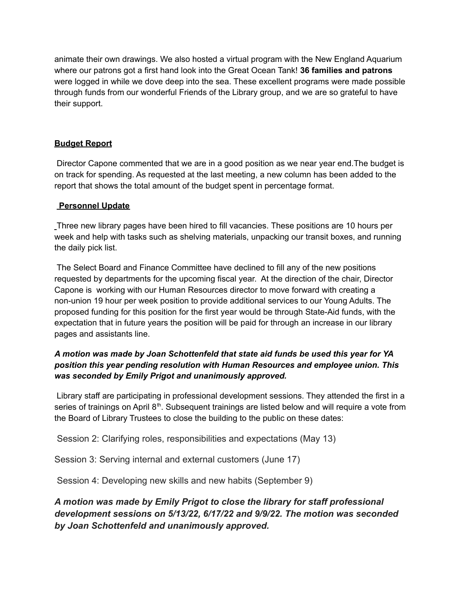animate their own drawings. We also hosted a virtual program with the New England Aquarium where our patrons got a first hand look into the Great Ocean Tank! **36 families and patrons** were logged in while we dove deep into the sea. These excellent programs were made possible through funds from our wonderful Friends of the Library group, and we are so grateful to have their support.

## **Budget Report**

Director Capone commented that we are in a good position as we near year end.The budget is on track for spending. As requested at the last meeting, a new column has been added to the report that shows the total amount of the budget spent in percentage format.

### **Personnel Update**

Three new library pages have been hired to fill vacancies. These positions are 10 hours per week and help with tasks such as shelving materials, unpacking our transit boxes, and running the daily pick list.

The Select Board and Finance Committee have declined to fill any of the new positions requested by departments for the upcoming fiscal year. At the direction of the chair, Director Capone is working with our Human Resources director to move forward with creating a non-union 19 hour per week position to provide additional services to our Young Adults. The proposed funding for this position for the first year would be through State-Aid funds, with the expectation that in future years the position will be paid for through an increase in our library pages and assistants line.

## *A motion was made by Joan Schottenfeld that state aid funds be used this year for YA position this year pending resolution with Human Resources and employee union. This was seconded by Emily Prigot and unanimously approved.*

Library staff are participating in professional development sessions. They attended the first in a series of trainings on April 8<sup>th</sup>. Subsequent trainings are listed below and will require a vote from the Board of Library Trustees to close the building to the public on these dates:

Session 2: Clarifying roles, responsibilities and expectations (May 13)

Session 3: Serving internal and external customers (June 17)

Session 4: Developing new skills and new habits (September 9)

*A motion was made by Emily Prigot to close the library for staff professional development sessions on 5/13/22, 6/17/22 and 9/9/22. The motion was seconded by Joan Schottenfeld and unanimously approved.*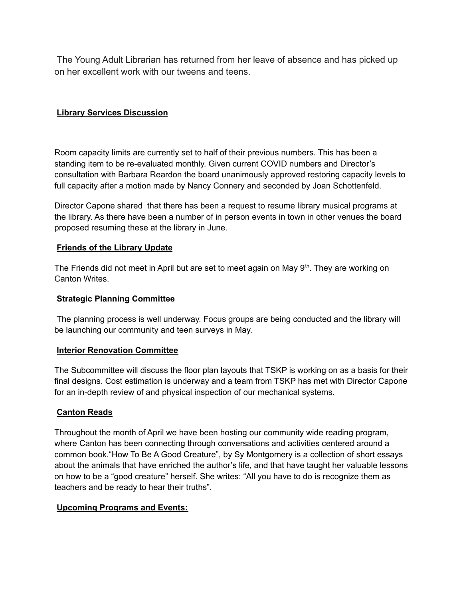The Young Adult Librarian has returned from her leave of absence and has picked up on her excellent work with our tweens and teens.

# **Library Services Discussion**

Room capacity limits are currently set to half of their previous numbers. This has been a standing item to be re-evaluated monthly. Given current COVID numbers and Director's consultation with Barbara Reardon the board unanimously approved restoring capacity levels to full capacity after a motion made by Nancy Connery and seconded by Joan Schottenfeld.

Director Capone shared that there has been a request to resume library musical programs at the library. As there have been a number of in person events in town in other venues the board proposed resuming these at the library in June.

### **Friends of the Library Update**

The Friends did not meet in April but are set to meet again on May 9<sup>th</sup>. They are working on Canton Writes.

#### **Strategic Planning Committee**

The planning process is well underway. Focus groups are being conducted and the library will be launching our community and teen surveys in May.

### **Interior Renovation Committee**

The Subcommittee will discuss the floor plan layouts that TSKP is working on as a basis for their final designs. Cost estimation is underway and a team from TSKP has met with Director Capone for an in-depth review of and physical inspection of our mechanical systems.

### **Canton Reads**

Throughout the month of April we have been hosting our community wide reading program, where Canton has been connecting through conversations and activities centered around a common book."How To Be A Good Creature", by Sy Montgomery is a collection of short essays about the animals that have enriched the author's life, and that have taught her valuable lessons on how to be a "good creature" herself. She writes: "All you have to do is recognize them as teachers and be ready to hear their truths".

### **Upcoming Programs and Events:**